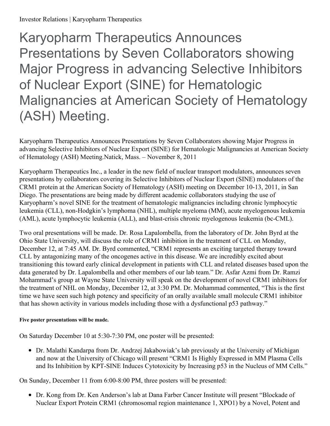Karyopharm Therapeutics Announces Presentations by Seven Collaborators showing Major Progress in advancing Selective Inhibitors of Nuclear Export (SINE) for Hematologic Malignancies at American Society of Hematology (ASH) Meeting.

Karyopharm Therapeutics Announces Presentations by Seven Collaborators showing Major Progress in advancing Selective Inhibitors of Nuclear Export (SINE) for Hematologic Malignancies at American Society of Hematology (ASH) Meeting.Natick, Mass. – November 8, 2011

Karyopharm Therapeutics Inc., a leader in the new field of nuclear transport modulators, announces seven presentations by collaborators covering its Selective Inhibitors of Nuclear Export (SINE) modulators of the CRM1 protein at the American Society of Hematology (ASH) meeting on December 10-13, 2011, in San Diego. The presentations are being made by different academic collaborators studying the use of Karyopharm's novel SINE for the treatment of hematologic malignancies including chronic lymphocytic leukemia (CLL), non-Hodgkin's lymphoma (NHL), multiple myeloma (MM), acute myelogenous leukemia (AML), acute lymphocytic leukemia (ALL), and blast-crisis chronic myelogenous leukemia (bc-CML).

Two oral presentations will be made. Dr. Rosa Lapalombella, from the laboratory of Dr. John Byrd at the Ohio State University, will discuss the role of CRM1 inhibition in the treatment of CLL on Monday, December 12, at 7:45 AM. Dr. Byrd commented, "CRM1 represents an exciting targeted therapy toward CLL by antagonizing many of the oncogenes active in this disease. We are incredibly excited about transitioning this toward early clinical development in patients with CLL and related diseases based upon the data generated by Dr. Lapalombella and other members of our lab team." Dr. Asfar Azmi from Dr. Ramzi Mohammad's group at Wayne State University will speak on the development of novel CRM1 inhibitors for the treatment of NHL on Monday, December 12, at 3:30 PM. Dr. Mohammad commented, "This is the first time we have seen such high potency and specificity of an orally available small molecule CRM1 inhibitor that has shown activity in various models including those with a dysfunctional p53 pathway."

## **Five poster presentations will be made.**

On Saturday December 10 at 5:30-7:30 PM, one poster will be presented:

Dr. Malathi Kandarpa from Dr. Andrzej Jakabowiak's lab previously at the University of Michigan and now at the University of Chicago will present "CRM1 Is Highly Expressed in MM Plasma Cells and Its Inhibition by KPT-SINE Induces Cytotoxicity by Increasing p53 in the Nucleus of MM Cells."

On Sunday, December 11 from 6:00-8:00 PM, three posters will be presented:

Dr. Kong from Dr. Ken Anderson's lab at Dana Farber Cancer Institute will present "Blockade of Nuclear Export Protein CRM1 (chromosomal region maintenance 1, XPO1) by a Novel, Potent and